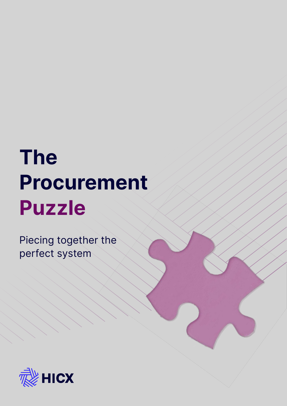## **The Procurement Puzzle**

Piecing together the perfect system

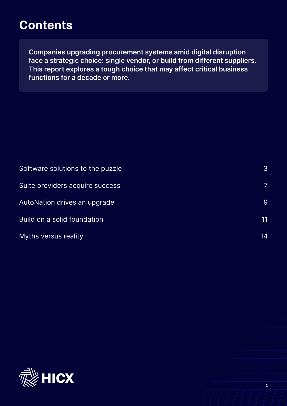## **Contents**

**Companies upgrading procurement systems amid digital disruption face a strategic choice: single vendor, or build from different suppliers. This report explores a tough choice that may affect critical business functions for a decade or more.**

| Software solutions to the puzzle | 3  |
|----------------------------------|----|
| Suite providers acquire success  |    |
| AutoNation drives an upgrade     | 9  |
| Build on a solid foundation      | 11 |
| <b>Myths versus reality</b>      | 14 |

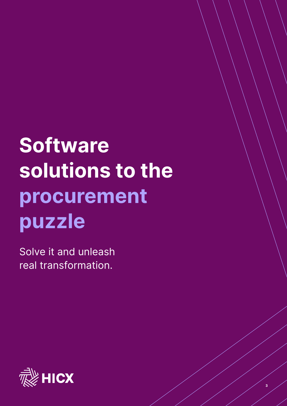# **Software solutions to the procurement puzzle**

**3**

Solve it and unleash real transformation.

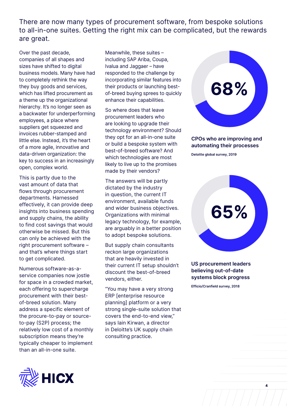There are now many types of procurement software, from bespoke solutions to all-in-one suites. Getting the right mix can be complicated, but the rewards are great.

Over the past decade, companies of all shapes and sizes have shifted to digital business models. Many have had to completely rethink the way they buy goods and services, which has lifted procurement as a theme up the organizational hierarchy. It's no longer seen as a backwater for underperforming employees, a place where suppliers get squeezed and invoices rubber-stamped and little else. Instead, it's the heart of a more agile, innovative and data-driven organization: the key to success in an increasingly open, complex world.

This is partly due to the vast amount of data that flows through procurement departments. Harnessed effectively, it can provide deep insights into business spending and supply chains, the ability to find cost savings that would otherwise be missed. But this can only be achieved with the right procurement software – and that's where things start to get complicated.

Numerous software-as-aservice companies now jostle for space in a crowded market, each offering to supercharge procurement with their bestof-breed solution. Many address a specific element of the procure-to-pay or sourceto-pay (S2P) process; the relatively low cost of a monthly subscription means they're typically cheaper to implement than an all-in-one suite.

Meanwhile, these suites – including SAP Ariba, Coupa, Ivalua and Jaggaer – have responded to the challenge by incorporating similar features into their products or launching bestof-breed buying sprees to quickly enhance their capabilities.

So where does that leave procurement leaders who are looking to upgrade their technology environment? Should they opt for an all-in-one suite or build a bespoke system with best-of-breed software? And which technologies are most likely to live up to the promises made by their vendors?

The answers will be partly dictated by the industry in question, the current IT environment, available funds and wider business objectives. Organizations with minimal legacy technology, for example, are arguably in a better position to adopt bespoke solutions.

But supply chain consultants reckon large organizations that are heavily invested in their current IT setup shouldn't discount the best-of-breed vendors, either.

"You may have a very strong ERP [enterprise resource planning] platform or a very strong single-suite solution that covers the end-to-end view," says Iain Kirwan, a director in Deloitte's UK supply chain consulting practice.



#### **CPOs who are improving and automating their processes**

**Deloitte global survey, 2019**



#### **US procurement leaders believing out-of-date systems block progress**

**4**

**Efficio/Cranfield survey, 2018**

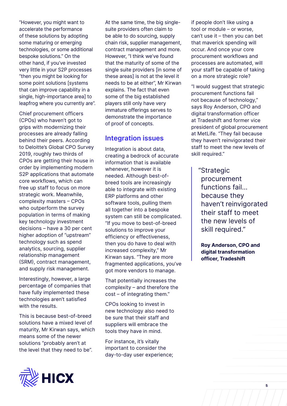"However, you might want to accelerate the performance of these solutions by adopting some maturing or emerging technologies, or some additional bespoke solutions." On the other hand, if you've invested very little in your S2P processes "then you might be looking for some point solutions [systems that can improve capability in a single, high-importance area] to leapfrog where you currently are".

Chief procurement officers (CPOs) who haven't got to grips with modernizing their processes are already falling behind their peers. According to Deloitte's Global CPO Survey 2019, roughly two thirds of CPOs are getting their house in order by implementing modern S2P applications that automate core workflows, which can free up staff to focus on more strategic work. Meanwhile, complexity masters – CPOs who outperform the survey population in terms of making key technology investment decisions – have a 30 per cent higher adoption of "upstream" technology such as spend analytics, sourcing, supplier relationship management (SRM), contract management, and supply risk management.

Interestingly, however, a large percentage of companies that have fully implemented these technologies aren't satisfied with the results.

This is because best-of-breed solutions have a mixed level of maturity, Mr Kirwan says, which means some of the newer solutions "probably aren't at the level that they need to be".

At the same time, the big singlesuite providers often claim to be able to do sourcing, supply chain risk, supplier management, contract management and more. However, "I think we've found that the maturity of some of the single suite providers [in some of these areas] is not at the level it needs to be at either", Mr Kirwan explains. The fact that even some of the big established players still only have very immature offerings serves to demonstrate the importance of proof of concepts.

#### **Integration issues**

Integration is about data, creating a bedrock of accurate information that is available whenever, however it is needed. Although best-ofbreed tools are increasingly able to integrate with existing ERP platforms and other software tools, pulling them all together into a bespoke system can still be complicated. "If you move to best-of-breed solutions to improve your efficiency or effectiveness, then you do have to deal with increased complexity," Mr Kirwan says. "They are more fragmented applications, you've got more vendors to manage.

That potentially increases the complexity – and therefore the cost – of integrating them."

CPOs looking to invest in new technology also need to be sure that their staff and suppliers will embrace the tools they have in mind.

For instance, it's vitally important to consider the day-to-day user experience; if people don't like using a tool or module – or worse, can't use it – then you can bet that maverick spending will occur. And once your core procurement workflows and processes are automated, will your staff be capable of taking on a more strategic role?

"I would suggest that strategic procurement functions fail not because of technology," says Roy Anderson, CPO and digital transformation officer at Tradeshift and former vice president of global procurement at MetLife. "They fail because they haven't reinvigorated their staff to meet the new levels of skill required."

"Strategic procurement functions fail… because they haven't reinvigorated their staff to meet the new levels of skill required."

 **Roy Anderson, CPO and digital transformation officer, Tradeshift**

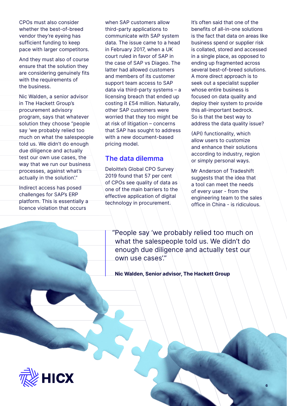CPOs must also consider whether the best-of-breed vendor they're eyeing has sufficient funding to keep pace with larger competitors.

And they must also of course ensure that the solution they are considering genuinely fits with the requirements of the business.

Nic Walden, a senior advisor in The Hackett Group's procurement advisory program, says that whatever solution they choose "people say 'we probably relied too much on what the salespeople told us. We didn't do enough due diligence and actually test our own use cases, the way that we run our business processes, against what's actually in the solution'."

Indirect access has posed challenges for SAP's ERP platform. This is essentially a licence violation that occurs

when SAP customers allow third-party applications to communicate with SAP system data. The issue came to a head in February 2017, when a UK court ruled in favor of SAP in the case of SAP vs Diageo. The latter had allowed customers and members of its customer support team access to SAP data via third-party systems – a licensing breach that ended up costing it £54 million. Naturally, other SAP customers were worried that they too might be at risk of litigation – concerns that SAP has sought to address with a new document-based pricing model.

### **The data dilemma**

Deloitte's Global CPO Survey 2019 found that 57 per cent of CPOs see quality of data as one of the main barriers to the effective application of digital technology in procurement.

It's often said that one of the benefits of all-in-one solutions is the fact that data on areas like business spend or supplier risk is collated, stored and accessed in a single place, as opposed to ending up fragmented across several best-of-breed solutions. A more direct approach is to seek out a specialist supplier whose entire business is focused on data quality and deploy their system to provide this all-important bedrock. So is that the best way to address the data quality issue?

(API) functionality, which allow users to customize and enhance their solutions according to industry, region or simply personal ways.

Mr Anderson of Tradeshift suggests that the idea that a tool can meet the needs of every user - from the engineering team to the sales office in China - is ridiculous.

"People say 'we probably relied too much on what the salespeople told us. We didn't do enough due diligence and actually test our own use cases'."

 **Nic Walden, Senior advisor, The Hackett Group**

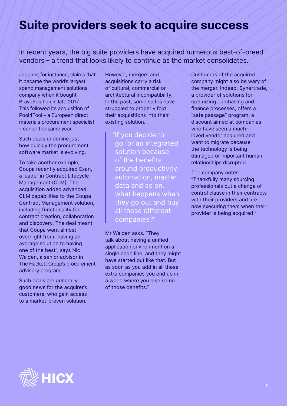## **Suite providers seek to acquire success**

In recent years, the big suite providers have acquired numerous best-of-breed vendors – a trend that looks likely to continue as the market consolidates.

Jaggaer, for instance, claims that it became the world's largest spend management solutions company when it bought BravoSolution in late 2017. This followed its acquisition of Pool4Tool – a European direct materials procurement specialist – earlier the same year.

Such deals underline just how quickly the procurement software market is evolving.

To take another example, Coupa recently acquired Exari, a leader in Contract Lifecycle Management (CLM). The acquisition added advanced CLM capabilities to the Coupa Contract Management solution, including functionality for contract creation, collaboration and discovery. The deal meant that Coupa went almost overnight from "having an average solution to having one of the best", says Nic Walden, a senior advisor in The Hackett Group's procurement advisory program.

Such deals are generally good news for the acquirer's customers, who gain access to a market-proven solution.

However, mergers and acquisitions carry a risk of cultural, commercial or architectural incompatibility. In the past, some suites have struggled to properly fold their acquisitions into their existing solution.

> "If you decide to go for an integrated solution because of the benefits around productivity, automation, master data and so on, what happens when they go out and buy all these different companies?"

Mr Walden asks. "They talk about having a unified application environment on a single code line, and they might have started out like that. But as soon as you add in all these extra companies you end up in a world where you lose some of those benefits."

Customers of the acquired company might also be wary of the merger. Indeed, Synertrade, a provider of solutions for optimizing purchasing and finance processes, offers a "safe passage" program, a discount aimed at companies who have seen a muchloved vendor acquired and want to migrate because the technology is being damaged or important human relationships disrupted.

The company notes: "Thankfully many sourcing professionals put a change of control clause in their contracts with their providers and are now executing them when their provider is being acquired."

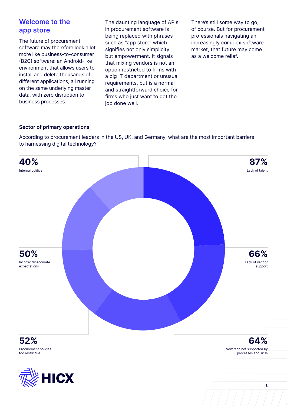### **Welcome to the app store**

The future of procurement software may therefore look a lot more like business-to-consumer (B2C) software: an Android-like environment that allows users to install and delete thousands of different applications, all running on the same underlying master data, with zero disruption to business processes.

The daunting language of APIs in procurement software is being replaced with phrases such as "app store" which signifies not only simplicity but empowerment. It signals that mixing vendors is not an option restricted to firms with a big IT department or unusual requirements, but is a normal and straightforward choice for firms who just want to get the job done well.

There's still some way to go, of course. But for procurement professionals navigating an increasingly complex software market, that future may come as a welcome relief.

#### **Sector of primary operations**

According to procurement leaders in the US, UK, and Germany, what are the most important barriers to harnessing digital technology?



Procurement policies too restrictive

New tech not supported by processes and skills

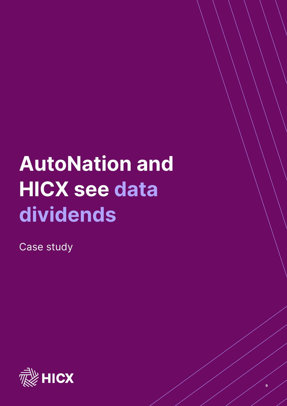## **AutoNation and HICX see data dividends**

**9**

Case study

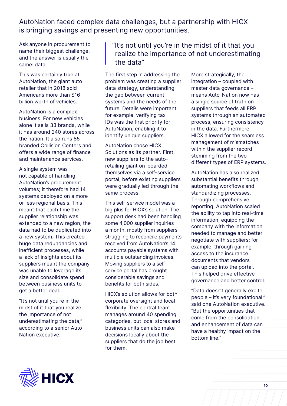AutoNation faced complex data challenges, but a partnership with HICX is bringing savings and presenting new opportunities.

Ask anyone in procurement to name their biggest challenge, and the answer is usually the same: data.

This was certainly true at AutoNation, the giant auto retailer that in 2018 sold Americans more than \$16 billion worth of vehicles.

AutoNation is a complex business. For new vehicles alone it sells 33 brands, while it has around 240 stores across the nation. It also runs 85 branded Collision Centers and offers a wide range of finance and maintenance services.

A single system was not capable of handling AutoNation's procurement volumes; it therefore had 14 systems deployed on a more or less regional basis. This meant that each time the supplier relationship was extended to a new region, the data had to be duplicated into a new system. This created huge data redundancies and inefficient processes, while a lack of insights about its suppliers meant the company was unable to leverage its size and consolidate spend between business units to get a better deal.

"It's not until you're in the midst of it that you realize the importance of not underestimating the data," according to a senior Auto-Nation executive.

"It's not until you're in the midst of it that you realize the importance of not underestimating the data"

The first step in addressing the problem was creating a supplier data strategy, understanding the gap between current systems and the needs of the future. Details were important: for example, verifying tax IDs was the first priority for AutoNation, enabling it to identify unique suppliers.

AutoNation chose HICX Solutions as its partner. First, new suppliers to the autoretailing giant on-boarded themselves via a self-service portal, before existing suppliers were gradually led through the same process.

This self-service model was a big plus for HICX's solution. The support desk had been handling some 4,000 supplier inquiries a month, mostly from suppliers struggling to reconcile payments received from AutoNation's 14 accounts payable systems with multiple outstanding invoices. Moving suppliers to a selfservice portal has brought considerable savings and benefits for both sides.

HICX's solution allows for both corporate oversight and local flexibility. The central team manages around 40 spending categories, but local stores and business units can also make decisions locally about the suppliers that do the job best for them.

More strategically, the integration – coupled with master data governance – means Auto-Nation now has a single source of truth on suppliers that feeds all ERP systems through an automated process, ensuring consistency in the data. Furthermore, HICX allowed for the seamless management of mismatches within the supplier record stemming from the two different types of ERP systems.

AutoNation has also realized substantial benefits through automating workflows and standardizing processes. Through comprehensive reporting, AutoNation scaled the ability to tap into real-time information, equipping the company with the information needed to manage and better negotiate with suppliers: for example, through gaining access to the insurance documents that vendors can upload into the portal. This helped drive effective governance and better control.

"Data doesn't generally excite people – it's very foundational," said one AutoNation executive. "But the opportunities that come from the consolidation and enhancement of data can have a healthy impact on the bottom line."

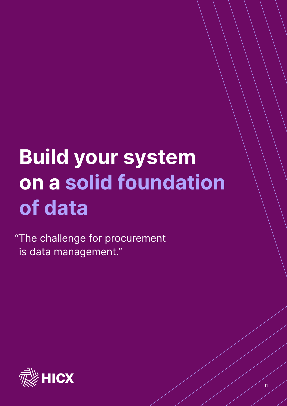## **Build your system on a solid foundation of data**

**11**

"The challenge for procurement is data management."

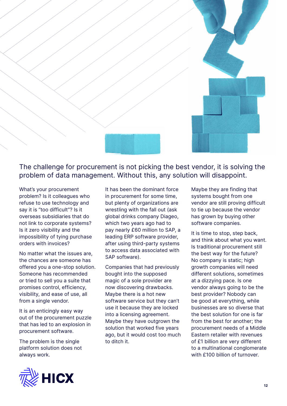

The challenge for procurement is not picking the best vendor, it is solving the problem of data management. Without this, any solution will disappoint.

What's your procurement problem? Is it colleagues who refuse to use technology and say it is "too difficult"? Is it overseas subsidiaries that do not link to corporate systems? Is it zero visibility and the impossibility of tying purchase orders with invoices?

No matter what the issues are, the chances are someone has offered you a one-stop solution. Someone has recommended or tried to sell you a suite that promises control, efficiency, visibility, and ease of use, all from a single vendor.

It is an enticingly easy way out of the procurement puzzle that has led to an explosion in procurement software.

The problem is the single platform solution does not always work.

It has been the dominant force in procurement for some time, but plenty of organizations are wrestling with the fall out (ask global drinks company Diageo, which two years ago had to pay nearly £60 million to SAP, a leading ERP software provider, after using third-party systems to access data associated with SAP software).

Companies that had previously bought into the supposed magic of a sole provider are now discovering drawbacks. Maybe there is a hot new software service but they can't use it because they are locked into a licensing agreement. Maybe they have outgrown the solution that worked five years ago, but it would cost too much to ditch it.

Maybe they are finding that systems bought from one vendor are still proving difficult to tie up because the vendor has grown by buying other software companies.

It is time to stop, step back, and think about what you want. Is traditional procurement still the best way for the future? No company is static; high growth companies will need different solutions, sometimes at a dizzying pace. Is one vendor always going to be the best provider? Nobody can be good at everything, while businesses are so diverse that the best solution for one is far from the best for another; the procurement needs of a Middle Eastern retailer with revenues of £1 billion are very different to a multinational conglomerate with £100 billion of turnover.

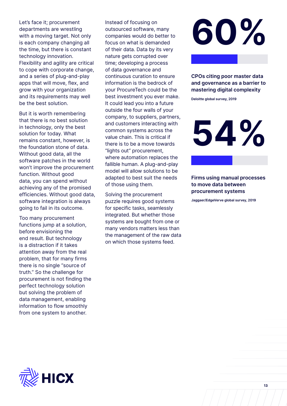Let's face it; procurement departments are wrestling with a moving target. Not only is each company changing all the time, but there is constant technology innovation. Flexibility and agility are critical to cope with corporate change, and a series of plug-and-play apps that will move, flex, and grow with your organization and its requirements may well be the best solution.

But it is worth remembering that there is no best solution in technology, only the best solution for today. What remains constant, however, is the foundation stone of data. Without good data, all the software patches in the world won't improve the procurement function. Without good data, you can spend without achieving any of the promised efficiencies. Without good data, software integration is always going to fail in its outcome.

Too many procurement functions jump at a solution, before envisioning the end result. But technology is a distraction if it takes attention away from the real problem, that for many firms there is no single "source of truth." So the challenge for procurement is not finding the perfect technology solution but solving the problem of data management, enabling information to flow smoothly from one system to another.

Instead of focusing on outsourced software, many companies would do better to focus on what is demanded of their data. Data by its very nature gets corrupted over time; developing a process of data governance and continuous curation to ensure information is the bedrock of your ProcureTech could be the best investment you ever make. It could lead you into a future outside the four walls of your company, to suppliers, partners, and customers interacting with common systems across the value chain. This is critical if there is to be a move towards "lights out" procurement, where automation replaces the fallible human. A plug-and-play model will allow solutions to be adapted to best suit the needs of those using them.

Solving the procurement puzzle requires good systems for specific tasks, seamlessly integrated. But whether those systems are bought from one or many vendors matters less than the management of the raw data on which those systems feed.



**CPOs citing poor master data and governance as a barrier to mastering digital complexity**

**Deloitte global survey, 2019**

**54%**

**Firms using manual processes to move data between procurement systems**

**Jaggaer/EdgeVerve global survey, 2019**

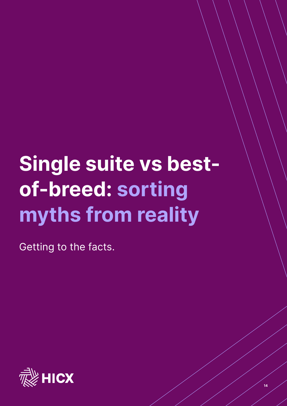# **Single suite vs bestof-breed: sorting myths from reality**

Getting to the facts.

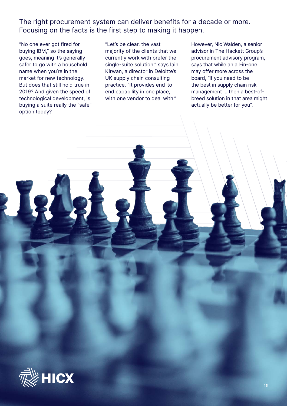The right procurement system can deliver benefits for a decade or more. Focusing on the facts is the first step to making it happen.

"No one ever got fired for buying IBM," so the saying goes, meaning it's generally safer to go with a household name when you're in the market for new technology. But does that still hold true in 2019? And given the speed of technological development, is buying a suite really the "safe" option today?

"Let's be clear, the vast majority of the clients that we currently work with prefer the single-suite solution," says Iain Kirwan, a director in Deloitte's UK supply chain consulting practice. "It provides end-toend capability in one place, with one vendor to deal with."

However, Nic Walden, a senior advisor in The Hackett Group's procurement advisory program, says that while an all-in-one may offer more across the board, "if you need to be the best in supply chain risk management ... then a best-ofbreed solution in that area might actually be better for you".

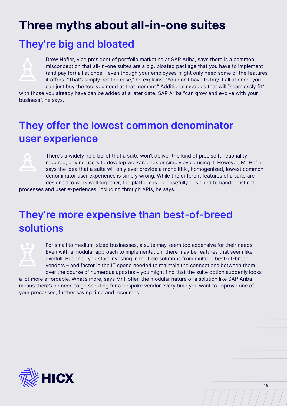## **Three myths about all-in-one suites**

### **They're big and bloated**



Drew Hofler, vice president of portfolio marketing at SAP Ariba, says there is a common misconception that all-in-one suites are a big, bloated package that you have to implement (and pay for) all at once – even though your employees might only need some of the features it offers. "That's simply not the case," he explains. "You don't have to buy it all at once; you can just buy the tool you need at that moment." Additional modules that will "seamlessly fit"

with those you already have can be added at a later date. SAP Ariba "can grow and evolve with your business", he says.

## **They offer the lowest common denominator user experience**



There's a widely held belief that a suite won't deliver the kind of precise functionality required, driving users to develop workarounds or simply avoid using it. However, Mr Hofler says the idea that a suite will only ever provide a monolithic, homogenized, lowest common denominator user experience is simply wrong. While the different features of a suite are designed to work well together, the platform is purposefully designed to handle distinct

processes and user experiences, including through APIs, he says.

### **They're more expensive than best-of-breed solutions**



For small to medium-sized businesses, a suite may seem too expensive for their needs. Even with a modular approach to implementation, there may be features that seem like overkill. But once you start investing in multiple solutions from multiple best-of-breed vendors – and factor in the IT spend needed to maintain the connections between them over the course of numerous updates – you might find that the suite option suddenly looks

a lot more affordable. What's more, says Mr Hofler, the modular nature of a solution like SAP Ariba means there's no need to go scouting for a bespoke vendor every time you want to improve one of your processes, further saving time and resources.

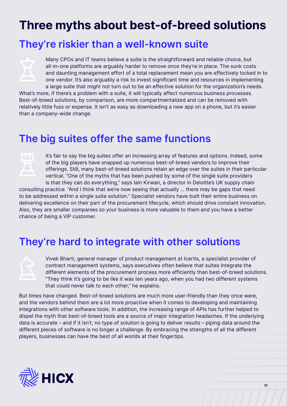## **Three myths about best-of-breed solutions**

### **They're riskier than a well-known suite**



Many CPOs and IT teams believe a suite is the straightforward and reliable choice, but all-in-one platforms are arguably harder to remove once they're in place. The sunk costs and daunting management effort of a total replacement mean you are effectively locked in to one vendor. It's also arguably a risk to invest significant time and resources in implementing a large suite that might not turn out to be an effective solution for the organization's needs.

What's more, if there's a problem with a suite, it will typically affect numerous business processes. Best-of-breed solutions, by comparison, are more compartmentalized and can be removed with relatively little fuss or expense. It isn't as easy as downloading a new app on a phone, but it's easier than a company-wide change.

### **The big suites offer the same functions**



It's fair to say the big suites offer an increasing array of features and options. Indeed, some of the big players have snapped up numerous best-of-breed vendors to improve their offerings. Still, many best-of-breed solutions retain an edge over the suites in their particular vertical. "One of the myths that has been pushed by some of the single suite providers is that they can do everything," says Iain Kirwan, a director in Deloitte's UK supply chain

consulting practice. "And I think that we're now seeing that actually ... there may be gaps that need to be addressed within a single suite solution." Specialist vendors have built their entire business on delivering excellence on their part of the procurement lifecycle, which should drive constant innovation. Also, they are smaller companies so your business is more valuable to them and you have a better chance of being a VIP customer.

### **They're hard to integrate with other solutions**



Vivek Bharti, general manager of product management at Icertis, a specialist provider of contract management systems, says executives often believe that suites integrate the different elements of the procurement process more efficiently than best-of-breed solutions. "They think it's going to be like it was ten years ago, when you had two different systems that could never talk to each other," he explains.

But times have changed. Best-of-breed solutions are much more user-friendly than they once were, and the vendors behind them are a lot more proactive when it comes to developing and maintaining integrations with other software tools. In addition, the increasing range of APIs has further helped to dispel the myth that best-of-breed tools are a source of major integration headaches. If the underlying data is accurate – and if it isn't, no type of solution is going to deliver results – piping data around the different pieces of software is no longer a challenge. By embracing the strengths of all the different players, businesses can have the best of all worlds at their fingertips.



**17**